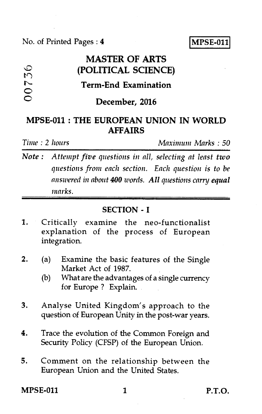No. of Printed Pages : 4 **IMPSE-011** 

# **MASTER OF ARTS**  (POLITICAL SCIENCE) **Term-End Examination DO736** December, 2016

# **MPSE-011 : THE EUROPEAN UNION IN WORLD AFFAIRS**

*Time : 2 hours Maximum Marks : 50* 

*Note : Attempt five questions in all, selecting at least two questions from each section. Each question is to he answered in about 400 words. All questions carry equal marks.* 

### **SECTION - I**

- 1. Critically examine the neo-functionalist explanation of the process of European integration.
- 2. (a) Examine the basic features of the Single Market Act of 1987.
	- (b) What are the advantages of a single currency for Europe ? Explain.
- 3. Analyse United Kingdom's approach to the question of European Unity in the post-war years.
- 4. Trace the evolution of the Common Foreign and Security Policy (CFSP) of the European Union.
- 5. Comment on the relationship between the European Union and the United States.

**MPSE-011** 1 **P.T.O.**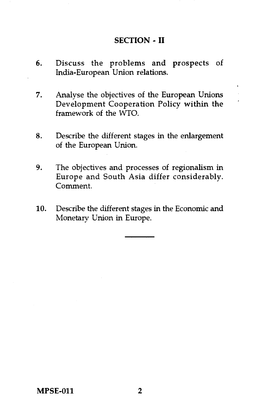#### **SECTION - II**

- 6. Discuss the problems and prospects of India-European Union relations.
- 7. Analyse the objectives of the European Unions Development Cooperation Policy within the framework of the WTO.
- 8. Describe the different stages in the enlargement of the European Union.
- 9. The objectives and processes of regionalism in Europe and South Asia differ considerably. Comment.
- 10. Describe the different stages in the Economic and Monetary Union in Europe.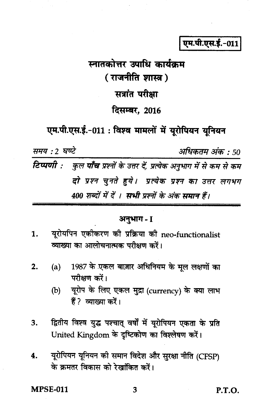एम.पी.एस.ई.-011

# स्नातकोत्तर उपाधि कार्यक्रम ( राजनीति शास्त्र ) सत्रांत परीक्षा दिसम्बर, 2016

एम.पी.एस.ई.-011: विश्व मामलों में यूरोपियन यूनियन

समय : 2 घण्टे अधिकतम अंक : 50 टिप्पणी : कुल पाँच प्रश्नों के उत्तर दें, प्रत्येक अनुभाग में से कम से कम दो प्रश्न चुनते हुये। प्रत्येक प्रश्न का उत्तर लगभग 400 शब्दों में दें । सभी प्रश्नों के अंक समान हैं।

# अनुभाग - I

- यरोयपिन एकीकरण की प्रक्रिया की neo-functionalist  $1.$ व्याख्या का आलोचनात्मक परीक्षण करें।
- 1987 के एकल बाज़ार अधिनियम के मूल लक्षणों का  $(a)$  $2.$ परीक्षण करें।
	- $(b)$ यूरोप के लिए एकल मुद्रा (currency) के क्या लाभ हैं? व्याख्या करें।
- द्वितीय विश्व युद्ध पश्चात् वर्षौं में यूरोपियन एकता के प्रति 3. United Kingdom के दृष्टिकोण का विश्लेषण करें।
- यूरोपियन यूनियन की समान विदेश और सुरक्षा नीति (CFSP) 4. के क्रमतर विकास को रेखांकित करें।

**MPSE-011** 

**P.T.O.**